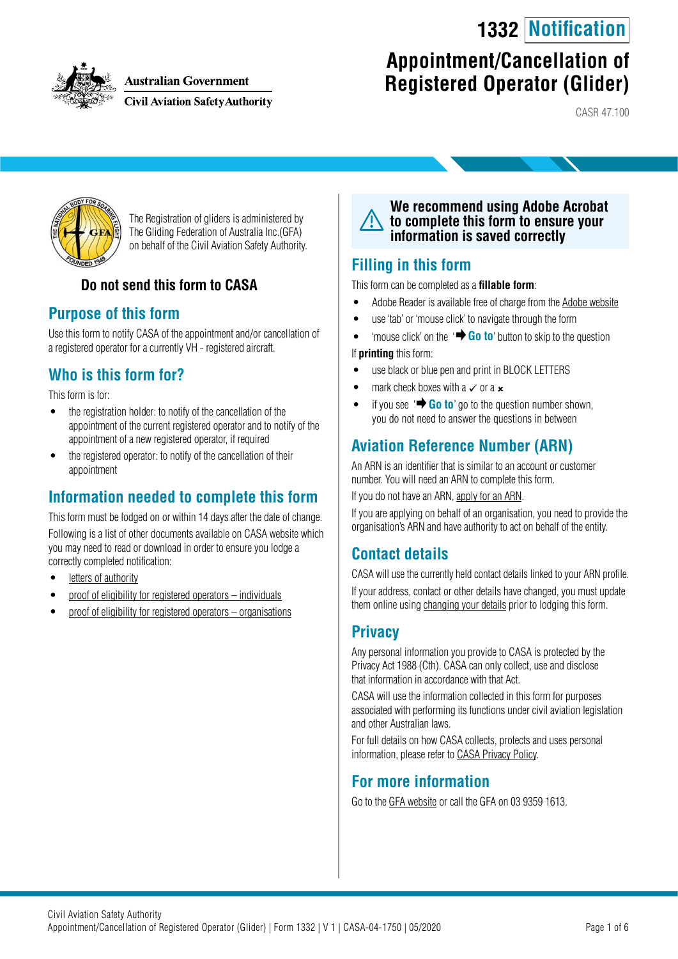# **1332 Notification**



**Australian Government** 

**Civil Aviation Safety Authority** 

# **Appointment/Cancellation of Registered Operator (Glider)**

CASR 47.100



The Registration of gliders is administered by The Gliding Federation of Australia Inc.(GFA) on behalf of the Civil Aviation Safety Authority.

# **Do not send this form to CASA**

## **Purpose of this form**

Use this form to notify CASA of the appointment and/or cancellation of a registered operator for a currently VH - registered aircraft.

# **Who is this form for?**

This form is for:

- the registration holder: to notify of the cancellation of the appointment of the current registered operator and to notify of the appointment of a new registered operator, if required
- the registered operator: to notify of the cancellation of their appointment

# **Information needed to complete this form**

This form must be lodged on or within 14 days after the date of change. Following is a list of other documents available on CASA website which you may need to read or download in order to ensure you lodge a correctly completed notification:

- [letters of authority](https://www.casa.gov.au/standard-page/letters-authority)
- [proof of eligibility for registered operators individuals](https://www.casa.gov.au/standard-page/registered-operators-proof-eligibility-individuals)
- [proof of eligibility for registered operators organisations](https://www.casa.gov.au/standard-page/registered-operators-proof-eligibility-organisations)



## **Filling in this form**

This form can be completed as a **fillable form**:

- Adobe Reader is available free of charge from the [Adobe website](https://get.adobe.com/reader/)
- use 'tab' or 'mouse click' to navigate through the form
- 'mouse click' on the ' **Go to**' button to skip to the question If **printing** this form:
- use black or blue pen and print in BLOCK LETTERS
- mark check boxes with a  $\times$  or a  $\times$
- if you see  $\overrightarrow{ }$  **Go to**' go to the question number shown, you do not need to answer the questions in between

# **Aviation Reference Number (ARN)**

An ARN is an identifier that is similar to an account or customer number. You will need an ARN to complete this form.

If you do not have an ARN, [apply for an ARN](https://www.casa.gov.au/licences-and-certification/individual-licensing/aviation-reference-numbers).

If you are applying on behalf of an organisation, you need to provide the organisation's ARN and have authority to act on behalf of the entity.

# **Contact details**

CASA will use the currently held contact details linked to your ARN profile. If your address, contact or other details have changed, you must update them online using [changing your details](https://www.casa.gov.au/licences-and-certification/individual-licensing/licence-information/changing-your-details) prior to lodging this form.

# **Privacy**

Any personal information you provide to CASA is protected by the Privacy Act 1988 (Cth). CASA can only collect, use and disclose that information in accordance with that Act.

CASA will use the information collected in this form for purposes associated with performing its functions under civil aviation legislation and other Australian laws.

For full details on how CASA collects, protects and uses personal information, please refer to [CASA Privacy Policy](http://www.casa.gov.au/privacy-policy).

# **For more information**

Go to the [GFA website](https://glidingaustralia.org/) or call the GFA on 03 9359 1613.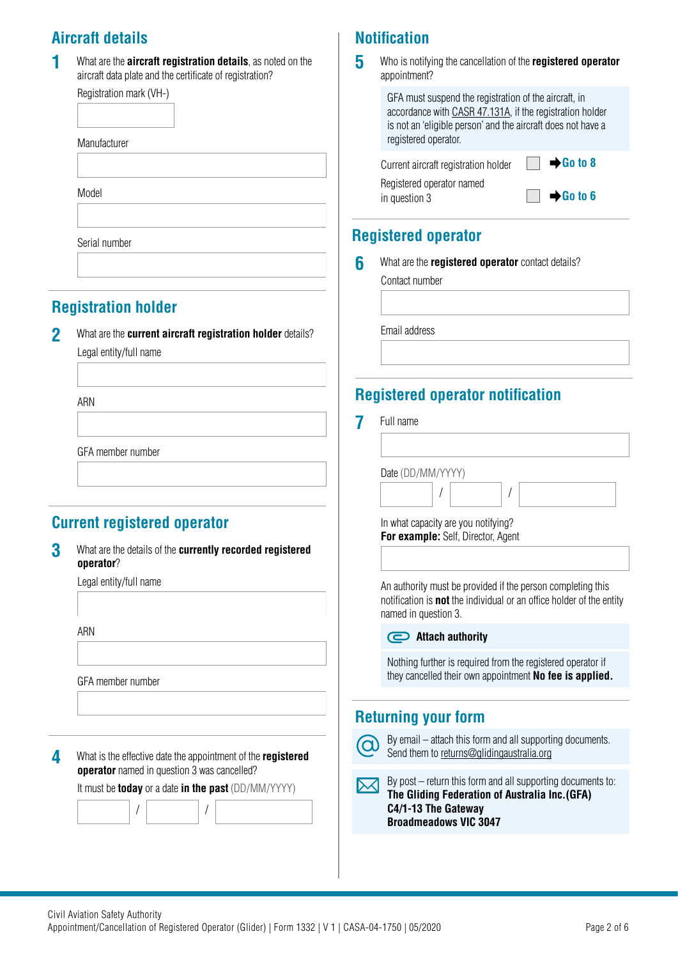# **Aircraft details**

| 1 | What are the <b>aircraft registration details</b> , as noted on the |
|---|---------------------------------------------------------------------|
|   | aircraft data plate and the certificate of registration?            |

| Registration mark (VH-) |  |
|-------------------------|--|
|                         |  |
| Manufacturer            |  |
|                         |  |
| Model                   |  |
|                         |  |

Serial number

# **Registration holder**

**2** What are the **current aircraft registration holder** details? Legal entity/full name

ARN

GFA member number

# **Current registered operator**

**3** What are the details of the **currently recorded registered operator**?

Legal entity/full name

ARN

GFA member number



It must be **today** or a date **in the past** (DD/MM/YYYY)

/ /

# **Notification**

**5**  Who is notifying the cancellation of the **registered operator** appointment?

| GFA must suspend the registration of the aircraft, in<br>accordance with CASR 47.131A, if the registration holder<br>is not an 'eligible person' and the aircraft does not have a<br>registered operator. |                                              |
|-----------------------------------------------------------------------------------------------------------------------------------------------------------------------------------------------------------|----------------------------------------------|
| Current aircraft registration holder                                                                                                                                                                      | $\rightarrow$ Go to 8                        |
| Registered operator named<br>in question 3                                                                                                                                                                | $\blacksquare$ $\blacktriangleright$ Go to 6 |

# **Registered operator**

**6** What are the **registered operator** contact details?

Contact number

Email address

# **Registered operator notification**

**7** Full name

/ / Date (DD/MM/YYYY) In what capacity are you notifying? **For example:** Self, Director, Agent An authority must be provided if the person completing this notification is **not** the individual or an office holder of the entity named in question 3. **Attach authority** Nothing further is required from the registered operator if they cancelled their own appointment **No fee is applied. Returning your form**

By email – attach this form and all supporting documents. Send them to [returns@glidingaustralia.org](mailto:returns%40glidingaustralia.org?subject=)

By post – return this form and all supporting documents to:  $\bowtie$ **The Gliding Federation of Australia Inc.(GFA) C4/1-13 The Gateway Broadmeadows VIC 3047**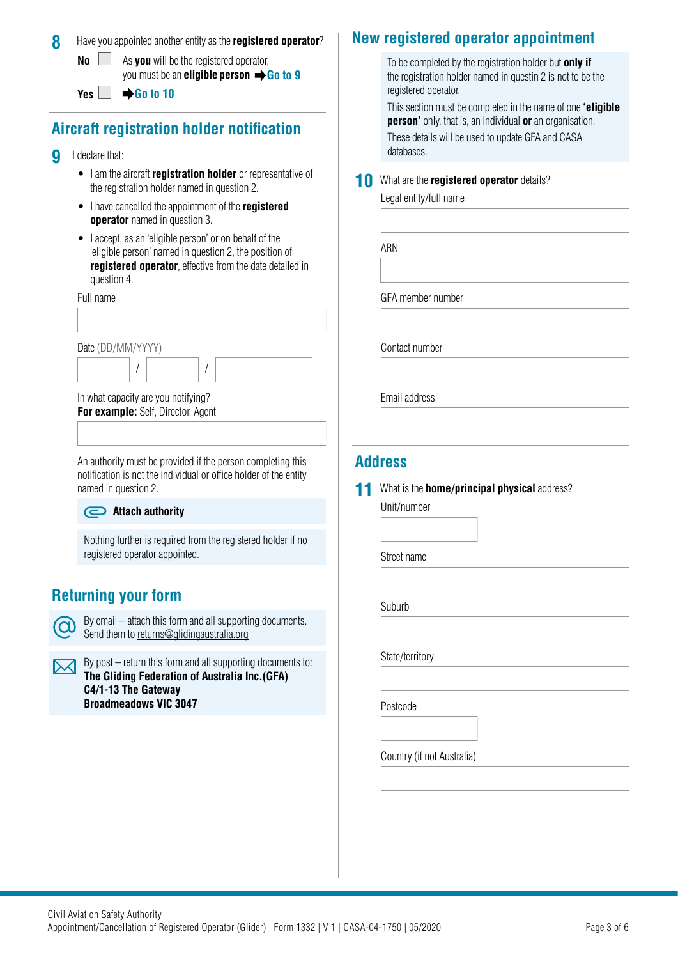#### **8** Have you appointed another entity as the **registered operator**?

**No**  $\Box$  As **you** will be the registered operator, you must be an **eligible person Go to 9**

**Yes**  $□$  $\rightarrow$  **Go to 10** 

# **Aircraft registration holder notification**

- **9** I declare that:
	- I am the aircraft **registration holder** or representative of the registration holder named in question 2.
	- I have cancelled the appointment of the **registered operator** named in question 3.
	- I accept, as an 'eligible person' or on behalf of the 'eligible person' named in question 2, the position of **registered operator**, effective from the date detailed in question 4.

Full name

Date (DD/MM/YYYY)

In what capacity are you notifying? **For example:** Self, Director, Agent

/ /

An authority must be provided if the person completing this notification is not the individual or office holder of the entity named in question 2.

#### **Attach authority**

Nothing further is required from the registered holder if no registered operator appointed.

# **Returning your form**

 $\Omega$ 

By email – attach this form and all supporting documents. Send them to [returns@glidingaustralia.org](mailto:returns%40glidingaustralia.org?subject=)

 $\lambda$  By post – return this form and all supporting documents to: **The Gliding Federation of Australia Inc.(GFA) C4/1-13 The Gateway Broadmeadows VIC 3047**

# **New registered operator appointment**

To be completed by the registration holder but **only if** the registration holder named in questin 2 is not to be the registered operator.

This section must be completed in the name of one **'eligible person'** only, that is, an individual **or** an organisation.

These details will be used to update GFA and CASA databases.

#### **10** What are the **registered operator** details?

Legal entity/full name

ARN

GFA member number

Contact number

Email address

#### **Address**

#### **11** What is the **home/principal physical** address?

Unit/number

Street name

Suburb

State/territory

Postcode

Country (if not Australia)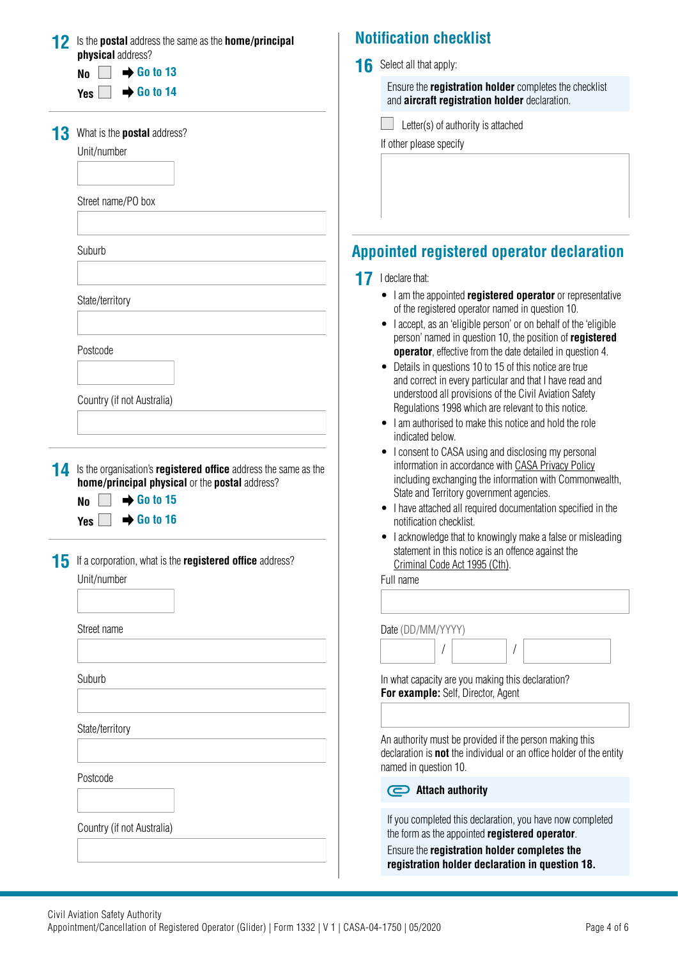|    | Is the postal address the same as the home/principal                                                                     |    | <b>Notification checklist</b>                                                                                                                                                                                                        |
|----|--------------------------------------------------------------------------------------------------------------------------|----|--------------------------------------------------------------------------------------------------------------------------------------------------------------------------------------------------------------------------------------|
|    | physical address?                                                                                                        | 16 | Select all that apply:                                                                                                                                                                                                               |
|    | $\rightarrow$ Go to 13<br><b>No</b>                                                                                      |    | Ensure the <b>registration holder</b> completes the checklist                                                                                                                                                                        |
|    | $\rightarrow$ Go to 14<br><b>Yes</b>                                                                                     |    | and aircraft registration holder declaration.                                                                                                                                                                                        |
|    | What is the <b>postal</b> address?                                                                                       |    | Letter(s) of authority is attached                                                                                                                                                                                                   |
|    | Unit/number                                                                                                              |    | If other please specify                                                                                                                                                                                                              |
|    |                                                                                                                          |    |                                                                                                                                                                                                                                      |
|    | Street name/PO box                                                                                                       |    |                                                                                                                                                                                                                                      |
|    | Suburb                                                                                                                   |    | <b>Appointed registered operator declaration</b>                                                                                                                                                                                     |
|    |                                                                                                                          | 17 | I declare that:                                                                                                                                                                                                                      |
|    | State/territory                                                                                                          |    | • I am the appointed registered operator or representative<br>of the registered operator named in question 10.<br>I accept, as an 'eligible person' or on behalf of the 'eligible'                                                   |
|    | Postcode                                                                                                                 |    | person' named in question 10, the position of registered<br><b>operator</b> , effective from the date detailed in question 4.<br>• Details in questions 10 to 15 of this notice are true                                             |
|    | Country (if not Australia)                                                                                               |    | and correct in every particular and that I have read and<br>understood all provisions of the Civil Aviation Safety<br>Regulations 1998 which are relevant to this notice.<br>• I am authorised to make this notice and hold the role |
|    |                                                                                                                          |    | indicated below.<br>• I consent to CASA using and disclosing my personal                                                                                                                                                             |
| 14 | Is the organisation's <b>registered office</b> address the same as the<br>home/principal physical or the postal address? |    | information in accordance with CASA Privacy Policy<br>including exchanging the information with Commonwealth,                                                                                                                        |
|    | $\rightarrow$ Go to 15<br><b>No</b><br>$\rightarrow$ Go to 16<br><b>Yes</b>                                              |    | State and Territory government agencies.<br>I have attached all required documentation specified in the<br>notification checklist.                                                                                                   |
| 15 | If a corporation, what is the registered office address?                                                                 |    | • I acknowledge that to knowingly make a false or misleading<br>statement in this notice is an offence against the<br>Criminal Code Act 1995 (Cth).                                                                                  |
|    | Unit/number                                                                                                              |    | Full name                                                                                                                                                                                                                            |
|    |                                                                                                                          |    |                                                                                                                                                                                                                                      |
|    | Street name                                                                                                              |    | Date (DD/MM/YYYY)                                                                                                                                                                                                                    |
|    |                                                                                                                          |    |                                                                                                                                                                                                                                      |
|    | Suburb                                                                                                                   |    | In what capacity are you making this declaration?<br>For example: Self, Director, Agent                                                                                                                                              |
|    |                                                                                                                          |    |                                                                                                                                                                                                                                      |
|    | State/territory                                                                                                          |    | An authority must be provided if the person making this<br>declaration is <b>not</b> the individual or an office holder of the entity<br>named in question 10.                                                                       |
|    | Postcode                                                                                                                 |    | Attach authority                                                                                                                                                                                                                     |
|    | Country (if not Australia)                                                                                               |    | If you completed this declaration, you have now completed<br>the form as the appointed registered operator.                                                                                                                          |
|    |                                                                                                                          |    | Ensure the registration holder completes the<br>registration holder declaration in question 18.                                                                                                                                      |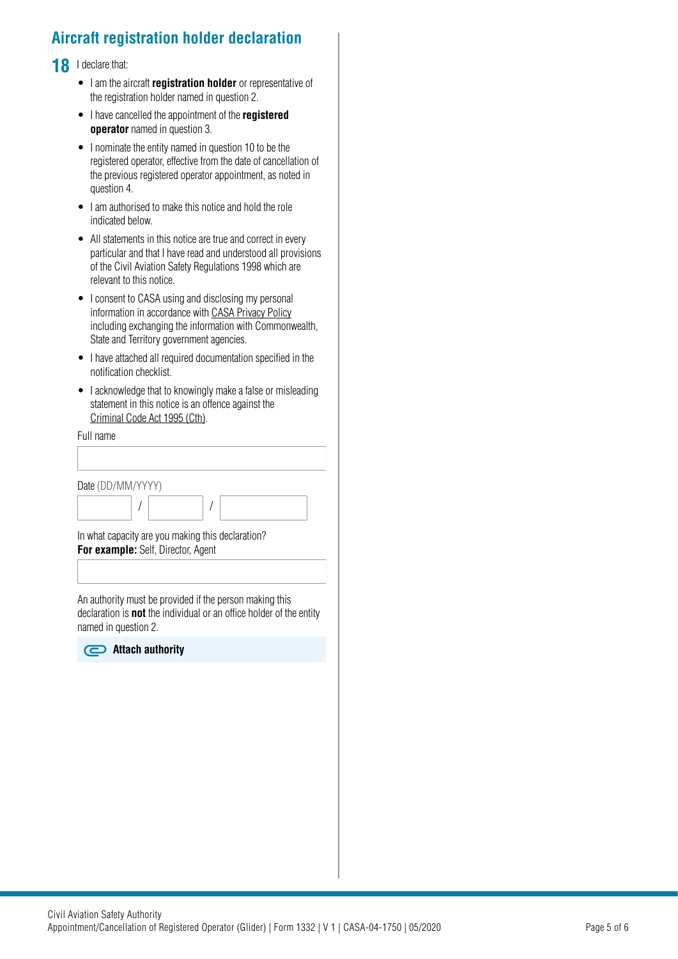# **Aircraft registration holder declaration**

18 I declare that:

- I am the aircraft **registration holder** or representative of the registration holder named in question 2.
- I have cancelled the appointment of the **registered operator** named in question 3.
- I nominate the entity named in question 10 to be the registered operator, effective from the date of cancellation of the previous registered operator appointment, as noted in question 4.
- I am authorised to make this notice and hold the role indicated below.
- All statements in this notice are true and correct in every particular and that I have read and understood all provisions of the Civil Aviation Safety Regulations 1998 which are relevant to this notice.
- I consent to CASA using and disclosing my personal information in accordance with [CASA Privacy Policy](http://www.casa.gov.au/privacy-policy) including exchanging the information with Commonwealth, State and Territory government agencies.
- I have attached all required documentation specified in the notification checklist.
- I acknowledge that to knowingly make a false or misleading statement in this notice is an offence against the [Criminal Code Act 1995 \(Cth\)](https://www.legislation.gov.au/Details/C2018C00244).

Full name

| Date (DD/MM/YYYY)                  |                                                   |  |
|------------------------------------|---------------------------------------------------|--|
|                                    |                                                   |  |
| For example: Self, Director, Agent | In what capacity are you making this declaration? |  |

An authority must be provided if the person making this declaration is **not** the individual or an office holder of the entity named in question 2.

**Attach authority**